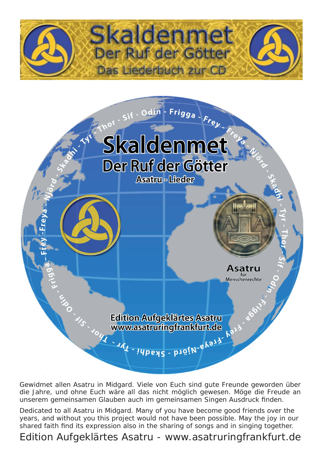



Edition Aufgeklärtes Asatru<br>Www.asatruringfrankfurt.de

Asatru für Menschenrechte

Gewidmet allen Asatru in Midgard. Viele von Euch sind gute Freunde geworden über die Jahre, und ohne Euch wäre all das nicht möglich gewesen. Möge die Freude an unserem gemeinsamen Glauben auch im gemeinsamen Singen Ausdruck finden.

Dedicated to all Asatru in Midgard. Many of you have become good friends over the years, and without you this project would not have been possible. May the joy in our shared faith find its expression also in the sharing of songs and in singing together.

Edition Aufgeklärtes Asatru - www.asatruringfrankfurt.de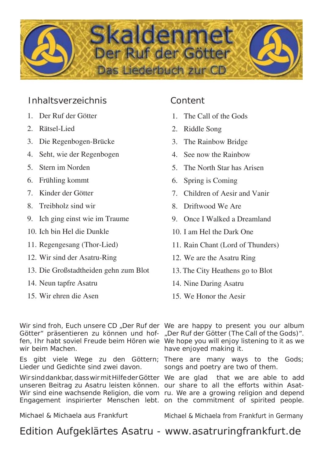

## Inhaltsverzeichnis Content

- 1. Der Ruf der Götter
- 2. Rätsel-Lied
- 3. Die Regenbogen-Brücke
- 4. Seht, wie der Regenbogen
- 5. Stern im Norden
- 6. Frühling kommt
- 7. Kinder der Götter
- 8. Treibholz sind wir
- 9. Ich ging einst wie im Traume
- 10. Ich bin Hel die Dunkle
- 11. Regengesang (Thor-Lied)
- 12. Wir sind der Asatru-Ring
- 13. Die Großstadtheiden gehn zum Blot
- 14. Neun tapfre Asatru
- 15. Wir ehren die Asen

- 1. The Call of the Gods
- 2. Riddle Song
- 3. The Rainbow Bridge
- 4. See now the Rainbow
- 5. The North Star has Arisen
- 6. Spring is Coming
- 7. Children of Aesir and Vanir
- 8. Driftwood We Are
- 9. Once I Walked a Dreamland
- 10. I am Hel the Dark One
- 11. Rain Chant (Lord of Thunders)
- 12. We are the Asatru Ring
- 13. The City Heathens go to Blot
- 14. Nine Daring Asatru
- 15. We Honor the Aesir

wir beim Machen.

Lieder und Gedichte sind zwei davon.

unseren Beitrag zu Asatru leisten können. our share to all the efforts within Asat-Engagement inspirierter Menschen lebt. on the commitment of spirited people.

Michael & Michaela aus Frankfurt

Wir sind froh, Euch unsere CD, Der Ruf der We are happy to present you our album Götter" präsentieren zu können und hof- "Der Ruf der Götter (The Call of the Gods)". fen, Ihr habt soviel Freude beim Hören wie We hope you will enjoy listening to it as we have enjoyed making it.

Es gibt viele Wege zu den Göttern; There are many ways to the Gods; songs and poetry are two of them.

Wirsind dankbar, dass wir mit Hilfe der Götter We are glad that we are able to add Wir sind eine wachsende Religion, die vom ru. We are a growing religion and depend

Michael & Michaela from Frankfurt in Germany

## Edition Aufgeklärtes Asatru - www.asatruringfrankfurt.de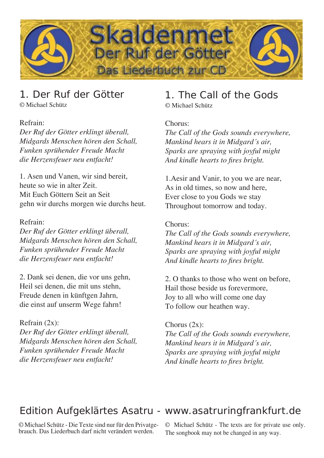

## 1. Der Ruf der Götter

© Michael Schütz

#### Refrain:

*Der Ruf der Götter erklingt überall, Midgards Menschen hören den Schall, Funken sprühender Freude Macht die Herzensfeuer neu entfacht!* 

1. Asen und Vanen, wir sind bereit, heute so wie in alter Zeit. Mit Euch Göttern Seit an Seit gehn wir durchs morgen wie durchs heut.

#### Refrain:

*Der Ruf der Götter erklingt überall, Midgards Menschen hören den Schall, Funken sprühender Freude Macht die Herzensfeuer neu entfacht!*

2. Dank sei denen, die vor uns gehn, Heil sei denen, die mit uns stehn, Freude denen in künftgen Jahrn, die einst auf unserm Wege fahrn!

#### Refrain (2x):

*Der Ruf der Götter erklingt überall, Midgards Menschen hören den Schall, Funken sprühender Freude Macht die Herzensfeuer neu entfacht!* 

## 1. The Call of the Gods

© Michael Schütz

#### Chorus:

*The Call of the Gods sounds everywhere, Mankind hears it in Midgard´s air, Sparks are spraying with joyful might And kindle hearts to fi res bright.*

1.Aesir and Vanir, to you we are near, As in old times, so now and here, Ever close to you Gods we stay Throughout tomorrow and today.

#### Chorus:

*The Call of the Gods sounds everywhere, Mankind hears it in Midgard´s air, Sparks are spraying with joyful might And kindle hearts to fires bright.* 

2. O thanks to those who went on before, Hail those beside us forevermore, Joy to all who will come one day To follow our heathen way.

#### Chorus  $(2x)$ :

*The Call of the Gods sounds everywhere, Mankind hears it in Midgard´s air, Sparks are spraying with joyful might And kindle hearts to fi res bright.*

## Edition Aufgeklärtes Asatru - www.asatruringfrankfurt.de

© Michael Schütz - Die Texte sind nur für den Privatgebrauch. Das Liederbuch darf nicht verändert werden.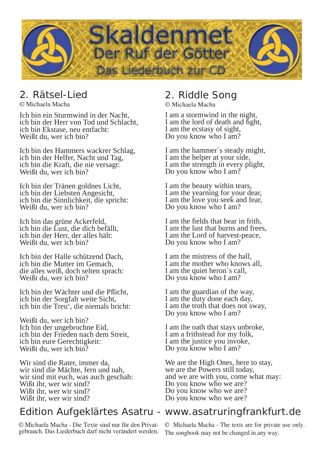

## 2. Rätsel-Lied

© Michaela Macha

Ich bin ein Sturmwind in der Nacht, ich bin der Herr von Tod und Schlacht, ich bin Ekstase, neu entfacht: Weißt du, wer ich bin?

Ich bin des Hammers wackrer Schlag, ich bin der Helfer, Nacht und Tag, ich bin die Kraft, die nie versagt: Weißt du, wer ich bin?

Ich bin der Tränen goldnes Licht, ich bin der Liebsten Angesicht, ich bin die Sinnlichkeit, die spricht: Weißt du, wer ich bin?

Ich bin das grüne Ackerfeld, ich bin die Lust, die dich befällt, ich bin der Herr, der alles hält: Weißt du, wer ich bin?

Ich bin der Halle schützend Dach, ich bin die Mutter im Gemach, die alles weiß, doch selten sprach: Weißt du, wer ich bin?

Ich bin der Wächter und die Pflicht, ich bin der Sorgfalt weite Sicht, ich bin die Treu', die niemals bricht:

Weißt du, wer ich bin? Ich bin der ungebrochne Eid, ich bin der Frieden nach dem Streit, ich bin eure Gerechtigkeit: Weißt du, wer ich bin?

Wir sind die Rater, immer da, wir sind die Mächte, fern und nah, wir sind mit euch, was auch geschah: Wißt ihr, wer wir sind? Wißt ihr, wer wir sind? Wißt ihr, wer wir sind?

© Michaela Macha - Die Texte sind nur für den Privat-

## 2. Riddle Song

© Michaela Macha

I am a stormwind in the night, I am the lord of death and fight, I am the ecstasy of sight, Do you know who I am?

I am the hammer´s steady might, I am the helper at your side, I am the strength in every plight, Do you know who I am?

I am the beauty within tears, I am the yearning for your dear, I am the love you seek and fear, Do you know who I am?

I am the fields that bear in frith. I am the lust that burns and frees, I am the Lord of harvest-peace, Do you know who I am?

I am the mistress of the hall, I am the mother who knows all, I am the quiet heron´s call, Do you know who I am?

I am the guardian of the way, I am the duty done each day, I am the troth that does not sway, Do you know who I am?

I am the oath that stays unbroke, I am a frithstead for my folk, I am the justice you invoke, Do you know who I am?

We are the High Ones, here to stay, we are the Powers still today, and we are with you, come what may: Do you know who we are? Do you know who we are? Do you know who we are?

## Edition Aufgeklärtes Asatru - www.asatruringfrankfurt.de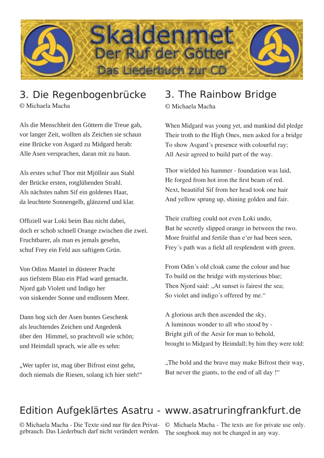

# 3. Die Regenbogenbrücke

© Michaela Macha

Als die Menschheit den Göttern die Treue gab, vor langer Zeit, wollten als Zeichen sie schaun eine Brücke von Asgard zu Midgard herab: Alle Asen versprachen, daran mit zu baun.

Als erstes schuf Thor mit Mjöllnir aus Stahl der Brücke ersten, rotglühenden Strahl. Als nächstes nahm Sif ein goldenes Haar, da leuchtete Sonnengelb, glänzend und klar.

Offiziell war Loki beim Bau nicht dabei. doch er schob schnell Orange zwischen die zwei. Fruchtbarer, als man es jemals gesehn, schuf Frey ein Feld aus saftigem Grün.

Von Odins Mantel in düsterer Pracht aus tiefstem Blau ein Pfad ward gemacht. Njord gab Violett und Indigo her von sinkender Sonne und endlosem Meer.

Dann bog sich der Asen buntes Geschenk als leuchtendes Zeichen und Angedenk über den Himmel, so prachtvoll wie schön; und Heimdall sprach, wie alle es sehn:

"Wer tapfer ist, mag über Bifrost einst gehn, doch niemals die Riesen, solang ich hier steh!"

# 3. The Rainbow Bridge

© Michaela Macha

When Midgard was young yet, and mankind did pledge Their troth to the High Ones, men asked for a bridge To show Asgard´s presence with colourful ray; All Aesir agreed to build part of the way.

Thor wielded his hammer - foundation was laid, He forged from hot iron the first beam of red. Next, beautiful Sif from her head took one hair And yellow sprung up, shining golden and fair.

Their crafting could not even Loki undo, But he secretly slipped orange in between the two. More fruitful and fertile than e'er had been seen, Frey's path was a field all resplendent with green.

From Odin´s old cloak came the colour and hue To build on the bridge with mysterious blue; Then Njord said: "At sunset is fairest the sea; So violet and indigo´s offered by me."

A glorious arch then ascended the sky, A luminous wonder to all who stood by - Bright gift of the Aesir for man to behold, brought to Midgard by Heimdall; by him they were told:

"The bold and the brave may make Bifrost their way, But never the giants, to the end of all day !"

# Edition Aufgeklärtes Asatru - www.asatruringfrankfurt.de

© Michaela Macha - Die Texte sind nur für den Privatgebrauch. Das Liederbuch darf nicht verändert werden. © Michaela Macha - The texts are for private use only. The songbook may not be changed in any way.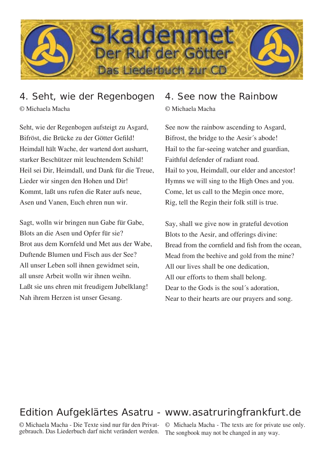

## 4. Seht, wie der Regenbogen © Michaela Macha

Seht, wie der Regenbogen aufsteigt zu Asgard, Bifröst, die Brücke zu der Götter Gefild! Heimdall hält Wache, der wartend dort ausharrt, starker Beschützer mit leuchtendem Schild! Heil sei Dir, Heimdall, und Dank für die Treue, Lieder wir singen den Hohen und Dir! Kommt, laßt uns rufen die Rater aufs neue, Asen und Vanen, Euch ehren nun wir.

Sagt, wolln wir bringen nun Gabe für Gabe, Blots an die Asen und Opfer für sie? Brot aus dem Kornfeld und Met aus der Wabe, Duftende Blumen und Fisch aus der See? All unser Leben soll ihnen gewidmet sein, all unsre Arbeit wolln wir ihnen weihn. Laßt sie uns ehren mit freudigem Jubelklang! Nah ihrem Herzen ist unser Gesang.

### 4. See now the Rainbow © Michaela Macha

See now the rainbow ascending to Asgard, Bifrost, the bridge to the Aesir´s abode! Hail to the far-seeing watcher and guardian, Faithful defender of radiant road. Hail to you, Heimdall, our elder and ancestor! Hymns we will sing to the High Ones and you. Come, let us call to the Megin once more, Rig, tell the Regin their folk still is true.

Say, shall we give now in grateful devotion Blots to the Aesir, and offerings divine: Bread from the cornfield and fish from the ocean, Mead from the beehive and gold from the mine? All our lives shall be one dedication, All our efforts to them shall belong. Dear to the Gods is the soul´s adoration, Near to their hearts are our prayers and song.

## Edition Aufgeklärtes Asatru - www.asatruringfrankfurt.de

© Michaela Macha - Die Texte sind nur für den Privat-gebrauch. Das Liederbuch darf nicht verändert werden. © Michaela Macha - The texts are for private use only. The songbook may not be changed in any way.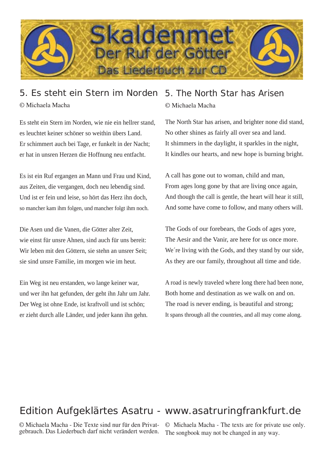

## 5. Es steht ein Stern im Norden © Michaela Macha

Es steht ein Stern im Norden, wie nie ein hellrer stand, es leuchtet keiner schöner so weithin übers Land. Er schimmert auch bei Tage, er funkelt in der Nacht; er hat in unsren Herzen die Hoffnung neu entfacht.

Es ist ein Ruf ergangen an Mann und Frau und Kind, aus Zeiten, die vergangen, doch neu lebendig sind. Und ist er fein und leise, so hört das Herz ihn doch, so mancher kam ihm folgen, und mancher folgt ihm noch.

Die Asen und die Vanen, die Götter alter Zeit, wie einst für unsre Ahnen, sind auch für uns bereit: Wir leben mit den Göttern, sie stehn an unsrer Seit; sie sind unsre Familie, im morgen wie im heut.

Ein Weg ist neu erstanden, wo lange keiner war, und wer ihn hat gefunden, der geht ihn Jahr um Jahr. Der Weg ist ohne Ende, ist kraftvoll und ist schön; er zieht durch alle Länder, und jeder kann ihn gehn.

## 5. The North Star has Arisen © Michaela Macha

The North Star has arisen, and brighter none did stand, No other shines as fairly all over sea and land. It shimmers in the daylight, it sparkles in the night, It kindles our hearts, and new hope is burning bright.

A call has gone out to woman, child and man, From ages long gone by that are living once again, And though the call is gentle, the heart will hear it still, And some have come to follow, and many others will.

The Gods of our forebears, the Gods of ages yore, The Aesir and the Vanir, are here for us once more. We're living with the Gods, and they stand by our side, As they are our family, throughout all time and tide.

A road is newly traveled where long there had been none, Both home and destination as we walk on and on. The road is never ending, is beautiful and strong; It spans through all the countries, and all may come along.

## Edition Aufgeklärtes Asatru - www.asatruringfrankfurt.de

© Michaela Macha - Die Texte sind nur für den Privatgebrauch. Das Liederbuch darf nicht verändert werden.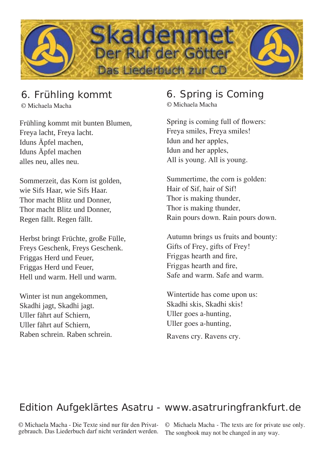

## 6. Frühling kommt

© Michaela Macha

Frühling kommt mit bunten Blumen, Freya lacht, Freya lacht. Iduns Äpfel machen, Iduns Äpfel machen alles neu, alles neu.

Sommerzeit, das Korn ist golden, wie Sifs Haar, wie Sifs Haar. Thor macht Blitz und Donner, Thor macht Blitz und Donner, Regen fällt. Regen fällt.

Herbst bringt Früchte, große Fülle, Freys Geschenk, Freys Geschenk. Friggas Herd und Feuer, Friggas Herd und Feuer, Hell und warm. Hell und warm.

Winter ist nun angekommen, Skadhi jagt, Skadhi jagt. Uller fährt auf Schiern, Uller fährt auf Schiern, Raben schrein. Raben schrein.

## 6. Spring is Coming

© Michaela Macha

Spring is coming full of flowers: Freya smiles, Freya smiles! Idun and her apples, Idun and her apples, All is young. All is young.

Summertime, the corn is golden: Hair of Sif, hair of Sif! Thor is making thunder, Thor is making thunder, Rain pours down. Rain pours down.

Autumn brings us fruits and bounty: Gifts of Frey, gifts of Frey! Friggas hearth and fire, Friggas hearth and fire, Safe and warm. Safe and warm.

Wintertide has come upon us: Skadhi skis, Skadhi skis! Uller goes a-hunting, Uller goes a-hunting,

Ravens cry. Ravens cry.

## Edition Aufgeklärtes Asatru - www.asatruringfrankfurt.de

© Michaela Macha - Die Texte sind nur für den Privatgebrauch. Das Liederbuch darf nicht verändert werden.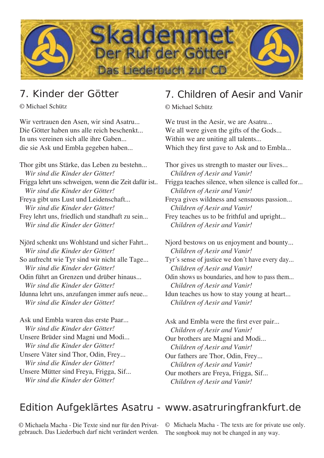

## 7. Kinder der Götter

© Michael Schütz

Wir vertrauen den Asen, wir sind Asatru... Die Götter haben uns alle reich beschenkt... In uns vereinen sich alle ihre Gaben... die sie Ask und Embla gegeben haben...

Thor gibt uns Stärke, das Leben zu bestehn...  *Wir sind die Kinder der Götter!* Frigga lehrt uns schweigen, wenn die Zeit dafür ist..  *Wir sind die Kinder der Götter!* Freya gibt uns Lust und Leidenschaft...  *Wir sind die Kinder der Götter!* Frey lehrt uns, friedlich und standhaft zu sein...  *Wir sind die Kinder der Götter!*

Njörd schenkt uns Wohlstand und sicher Fahrt...  *Wir sind die Kinder der Götter!* So aufrecht wie Tyr sind wir nicht alle Tage...  *Wir sind die Kinder der Götter!* Odin führt an Grenzen und drüber hinaus...  *Wir sind die Kinder der Götter!* Idunna lehrt uns, anzufangen immer aufs neue...  *Wir sind die Kinder der Götter!*

Ask und Embla waren das erste Paar...  *Wir sind die Kinder der Götter!* Unsere Brüder sind Magni und Modi...  *Wir sind die Kinder der Götter!* Unsere Väter sind Thor, Odin, Frey...  *Wir sind die Kinder der Götter!* Unsere Mütter sind Freya, Frigga, Sif...  *Wir sind die Kinder der Götter!*

## 7. Children of Aesir and Vanir

© Michael Schütz

We trust in the Aesir, we are Asatru... We all were given the gifts of the Gods... Within we are uniting all talents... Which they first gave to Ask and to Embla...

Thor gives us strength to master our lives...  *Children of Aesir and Vanir!* Frigga teaches silence, when silence is called for...  *Children of Aesir and Vanir!* Freya gives wildness and sensuous passion...  *Children of Aesir and Vanir!* Frey teaches us to be frithful and upright...  *Children of Aesir and Vanir!*

Njord bestows on us enjoyment and bounty...  *Children of Aesir and Vanir!* Tyr´s sense of justice we don´t have every day...  *Children of Aesir and Vanir!* Odin shows us boundaries, and how to pass them...  *Children of Aesir and Vanir!* Idun teaches us how to stay young at heart...  *Children of Aesir and Vanir!*

Ask and Embla were the first ever pair...  *Children of Aesir and Vanir!* Our brothers are Magni and Modi...  *Children of Aesir and Vanir!* Our fathers are Thor, Odin, Frey...  *Children of Aesir and Vanir!* Our mothers are Freya, Frigga, Sif...  *Children of Aesir and Vanir!*

## Edition Aufgeklärtes Asatru - www.asatruringfrankfurt.de

© Michaela Macha - Die Texte sind nur für den Privatgebrauch. Das Liederbuch darf nicht verändert werden.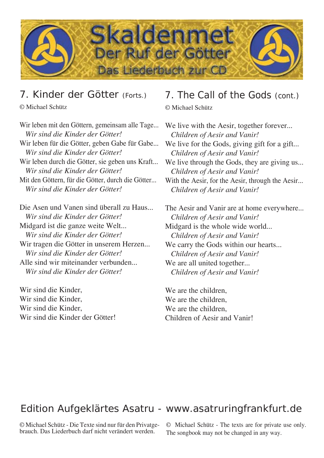

## 7. Kinder der Götter (Forts.)

© Michael Schütz

Wir leben mit den Göttern, gemeinsam alle Tage...  *Wir sind die Kinder der Götter!* Wir leben für die Götter, geben Gabe für Gabe...  *Wir sind die Kinder der Götter!* Wir leben durch die Götter, sie geben uns Kraft...  *Wir sind die Kinder der Götter!* Mit den Göttern, für die Götter, durch die Götter...  *Wir sind die Kinder der Götter!* Die Asen und Vanen sind überall zu Haus...  *Wir sind die Kinder der Götter!* Midgard ist die ganze weite Welt...

 *Wir sind die Kinder der Götter!* Wir tragen die Götter in unserem Herzen...  *Wir sind die Kinder der Götter!* Alle sind wir miteinander verbunden...  *Wir sind die Kinder der Götter!*

Wir sind die Kinder, Wir sind die Kinder, Wir sind die Kinder, Wir sind die Kinder der Götter!

## 7. The Call of the Gods (cont.)

© Michael Schütz

We live with the Aesir, together forever...  *Children of Aesir and Vanir!* We live for the Gods, giving gift for a gift...  *Children of Aesir and Vanir!* We live through the Gods, they are giving us... *Children of Aesir and Vanir!* With the Aesir, for the Aesir, through the Aesir...  *Children of Aesir and Vanir!* The Aesir and Vanir are at home everywhere...  *Children of Aesir and Vanir!* Midgard is the whole wide world...

 *Children of Aesir and Vanir!* We carry the Gods within our hearts...  *Children of Aesir and Vanir!* We are all united together...  *Children of Aesir and Vanir!*

We are the children, We are the children, We are the children, Children of Aesir and Vanir!

## Edition Aufgeklärtes Asatru - www.asatruringfrankfurt.de

© Michael Schütz - Die Texte sind nur für den Privatgebrauch. Das Liederbuch darf nicht verändert werden.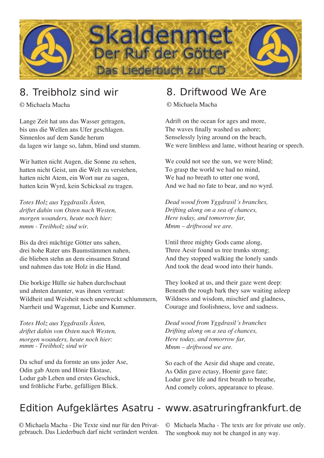

## 8. Treibholz sind wir

© Michaela Macha

Lange Zeit hat uns das Wasser getragen, bis uns die Wellen ans Ufer geschlagen. Sinnenlos auf dem Sande herum da lagen wir lange so, lahm, blind und stumm.

Wir hatten nicht Augen, die Sonne zu sehen, hatten nicht Geist, um die Welt zu verstehen, hatten nicht Atem, ein Wort nur zu sagen, hatten kein Wyrd, kein Schicksal zu tragen.

*Totes Holz aus Yggdrasils Ästen, driftet dahin von Osten nach Westen, morgen woanders, heute noch hier: mmm - Treibholz sind wir.*

Bis da drei mächtige Götter uns sahen, drei hohe Rater uns Baumstämmen nahen, die blieben stehn an dem einsamen Strand und nahmen das tote Holz in die Hand.

Die borkige Hülle sie haben durchschaut und ahnten darunter, was ihnen vertraut: Wildheit und Weisheit noch unerweckt schlummern, Narrheit und Wagemut, Liebe und Kummer.

*Totes Holz aus Yggdrasils Ästen, driftet dahin von Osten nach Westen, morgen woanders, heute noch hier: mmm - Treibholz sind wir*

Da schuf und da formte an uns jeder Ase, Odin gab Atem und Hönir Ekstase, Lodur gab Leben und erstes Geschick, und fröhliche Farbe, gefälligen Blick.

## 8. Driftwood We Are

© Michaela Macha

Adrift on the ocean for ages and more, The waves finally washed us ashore; Senselessly lying around on the beach, We were limbless and lame, without hearing or speech.

We could not see the sun, we were blind; To grasp the world we had no mind, We had no breath to utter one word, And we had no fate to bear, and no wyrd.

*Dead wood from Yggdrasil´s branches, Drifting along on a sea of chances, Here today, and tomorrow far, Mmm – driftwood we are.*

Until three mighty Gods came along, Three Aesir found us tree trunks strong; And they stopped walking the lonely sands And took the dead wood into their hands.

They looked at us, and their gaze went deep: Beneath the rough bark they saw waiting asleep Wildness and wisdom, mischief and gladness, Courage and foolishness, love and sadness.

*Dead wood from Yggdrasil´s branches Drifting along on a sea of chances, Here today, and tomorrow far, Mmm – driftwood we are.*

So each of the Aesir did shape and create, As Odin gave ectasy, Hoenir gave fate; Lodur gave life and first breath to breathe, And comely colors, appearance to please.

## Edition Aufgeklärtes Asatru - www.asatruringfrankfurt.de

© Michaela Macha - Die Texte sind nur für den Privatgebrauch. Das Liederbuch darf nicht verändert werden.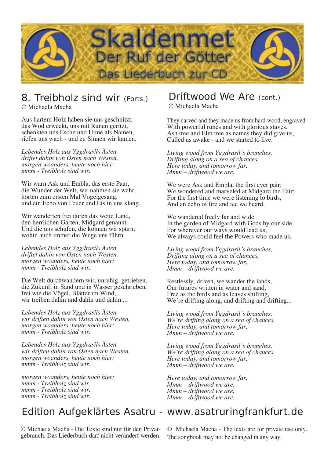

## 8. Treibholz sind wir (Forts.)

© Michaela Macha

Aus hartem Holz haben sie uns geschnitzt, das Wod erweckt, uns mit Runen geritzt, schenkten uns Esche und Ulme als Namen, riefen uns wach - und zu Sinnen wir kamen.

*Lebendes Holz aus Yggdrasils Ästen, driftet dahin von Osten nach Westen, morgen woanders, heute noch hier: mmm - Treibholz sind wir.*

Wir warn Ask und Embla, das erste Paar, die Wunder der Welt, wir nahmen sie wahr, hörten zum ersten Mal Vogelgesang, und ein Echo von Feuer und Eis in uns klang.

Wir wanderten frei durch das weite Land, den herrlichen Garten, Midgard genannt. Und die uns schufen, die können wir spürn, wohin auch immer die Wege uns führn.

*Lebendes Holz aus Yggdrasils Ästen, driftet dahin von Osten nach Westen, morgen woanders, heute noch hier: mmm - Treibholz sind wir.*

Die Welt durchwandern wir, unruhig, getrieben, die Zukunft in Sand und in Wasser geschrieben, frei wie die Vögel, Blätter im Wind, wir treiben dahin und dahin und dahin....

*Lebendes Holz aus Yggdrasils Ästen, wir driften dahin von Osten nach Westen, morgen woanders, heute noch hier: mmm - Treibholz sind wir.*

*Lebendes Holz aus Yggdrasils Ästen, wir driften dahin von Osten nach Westen, morgen woanders, heute noch hier: mmm - Treibholz sind wir.*

*morgen woanders, heute noch hier: mmm - Treibholz sind wir. mmm - Treibholz sind wir. mmm - Treibholz sind wir.*

### Called us awake - and we started to live. *Living wood from Yggdrasil´s branches,*

© Michaela Macha

*Drifting along on a sea of chances, Here today, and tomorrow far, Mmm – driftwood we are.*

Driftwood We Are (cont.)

With powerful runes and with glorious staves. Ash tree and Elm tree as names they did give us,

They carved and they made us from hard wood, engraved

We were Ask and Embla, the first ever pair; We wondered and marveled at Midgard the Fair; For the first time we were listening to birds, And an echo of fire and ice we heard.

We wandered freely far and wide In the garden of Midgard with Gods by our side, For wherever our ways would lead us, We always could feel the Powers who made us.

*Living wood from Yggdrasil´s branches, Drifting along on a sea of chances, Here today, and tomorrow far, Mmm – driftwood we are.*

Restlessly, driven, we wander the lands, Our futures written in water and sand, Free as the birds and as leaves shifting, We're drifting along, and drifting and drifting...

*Living wood from Yggdrasil´s branches, We´re drifting along on a sea of chances, Here today, and tomorrow far, Mmm – driftwood we are.*

*Living wood from Yggdrasil´s branches, We´re drifting along on a sea of chances, Here today, and tomorrow far, Mmm – driftwood we are.*

*Here today, and tomorrow far, Mmm – driftwood we are. Mmm – driftwood we are. Mmm – driftwood we are.*

## Edition Aufgeklärtes Asatru - www.asatruringfrankfurt.de

© Michaela Macha - Die Texte sind nur für den Privatgebrauch. Das Liederbuch darf nicht verändert werden.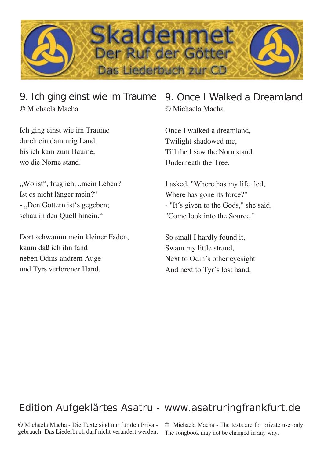

## 9. Ich ging einst wie im Traume © Michaela Macha

Ich ging einst wie im Traume durch ein dämmrig Land, bis ich kam zum Baume, wo die Norne stand.

", Wo ist", frug ich, "mein Leben? Ist es nicht länger mein?" - "Den Göttern ist's gegeben; schau in den Quell hinein."

Dort schwamm mein kleiner Faden, kaum daß ich ihn fand neben Odins andrem Auge und Tyrs verlorener Hand.

## 9. Once I Walked a Dreamland © Michaela Macha

Once I walked a dreamland, Twilight shadowed me, Till the I saw the Norn stand Underneath the Tree.

I asked, "Where has my life fled, Where has gone its force?" - "It´s given to the Gods," she said, "Come look into the Source."

So small I hardly found it, Swam my little strand, Next to Odin´s other eyesight And next to Tyr´s lost hand.

## Edition Aufgeklärtes Asatru - www.asatruringfrankfurt.de

© Michaela Macha - Die Texte sind nur für den Privatgebrauch. Das Liederbuch darf nicht verändert werden.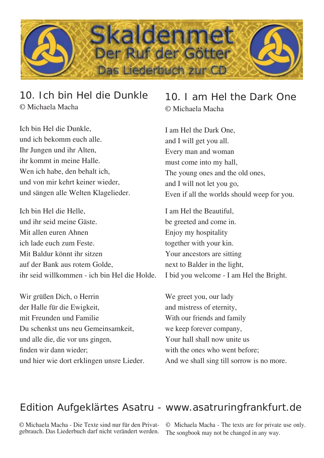

## 10. Ich bin Hel die Dunkle © Michaela Macha

Ich bin Hel die Dunkle, und ich bekomm euch alle. Ihr Jungen und ihr Alten, ihr kommt in meine Halle. Wen ich habe, den behalt ich, und von mir kehrt keiner wieder, und sängen alle Welten Klagelieder.

Ich bin Hel die Helle, und ihr seid meine Gäste. Mit allen euren Ahnen ich lade euch zum Feste. Mit Baldur könnt ihr sitzen auf der Bank aus rotem Golde, ihr seid willkommen - ich bin Hel die Holde.

Wir grüßen Dich, o Herrin der Halle für die Ewigkeit, mit Freunden und Familie Du schenkst uns neu Gemeinsamkeit, und alle die, die vor uns gingen, finden wir dann wieder; und hier wie dort erklingen unsre Lieder.

10. I am Hel the Dark One © Michaela Macha

I am Hel the Dark One, and I will get you all. Every man and woman must come into my hall, The young ones and the old ones, and I will not let you go, Even if all the worlds should weep for you.

I am Hel the Beautiful, be greeted and come in. Enjoy my hospitality together with your kin. Your ancestors are sitting next to Balder in the light, I bid you welcome - I am Hel the Bright.

We greet you, our lady and mistress of eternity, With our friends and family we keep forever company, Your hall shall now unite us with the ones who went before: And we shall sing till sorrow is no more.

## Edition Aufgeklärtes Asatru - www.asatruringfrankfurt.de

© Michaela Macha - Die Texte sind nur für den Privatgebrauch. Das Liederbuch darf nicht verändert werden.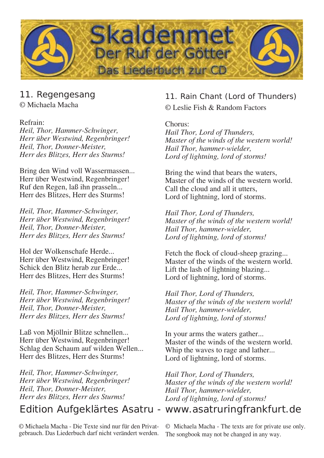

## 11. Regengesang

© Michaela Macha

#### Refrain:

*Heil, Thor, Hammer-Schwinger, Herr über Westwind, Regenbringer! Heil, Thor, Donner-Meister, Herr des Blitzes, Herr des Sturms!*

Bring den Wind voll Wassermassen... Herr über Westwind, Regenbringer! Ruf den Regen, laß ihn prasseln... Herr des Blitzes, Herr des Sturms!

*Heil, Thor, Hammer-Schwinger, Herr über Westwind, Regenbringer! Heil, Thor, Donner-Meister, Herr des Blitzes, Herr des Sturms!*

Hol der Wolkenschafe Herde... Herr über Westwind, Regenbringer! Schick den Blitz herab zur Erde... Herr des Blitzes, Herr des Sturms!

*Heil, Thor, Hammer-Schwinger, Herr über Westwind, Regenbringer! Heil, Thor, Donner-Meister, Herr des Blitzes, Herr des Sturms!*

Laß von Mjöllnir Blitze schnellen... Herr über Westwind, Regenbringer! Schlag den Schaum auf wilden Wellen... Herr des Blitzes, Herr des Sturms!

*Heil, Thor, Hammer-Schwinger, Herr über Westwind, Regenbringer! Heil, Thor, Donner-Meister, Herr des Blitzes, Herr des Sturms!*

## Edition Aufgeklärtes Asatru - www.asatruringfrankfurt.de

© Michaela Macha - Die Texte sind nur für den Privatgebrauch. Das Liederbuch darf nicht verändert werden.

### 11. Rain Chant (Lord of Thunders) © Leslie Fish & Random Factors

Chorus: *Hail Thor, Lord of Thunders, Master of the winds of the western world! Hail Thor, hammer-wielder, Lord of lightning, lord of storms!*

Bring the wind that bears the waters, Master of the winds of the western world. Call the cloud and all it utters, Lord of lightning, lord of storms.

*Hail Thor, Lord of Thunders, Master of the winds of the western world! Hail Thor, hammer-wielder, Lord of lightning, lord of storms!*

Fetch the flock of cloud-sheep grazing... Master of the winds of the western world. Lift the lash of lightning blazing... Lord of lightning, lord of storms.

*Hail Thor, Lord of Thunders, Master of the winds of the western world! Hail Thor, hammer-wielder, Lord of lightning, lord of storms!*

In your arms the waters gather... Master of the winds of the western world. Whip the waves to rage and lather... Lord of lightning, lord of storms.

*Hail Thor, Lord of Thunders, Master of the winds of the western world! Hail Thor, hammer-wielder, Lord of lightning, lord of storms!*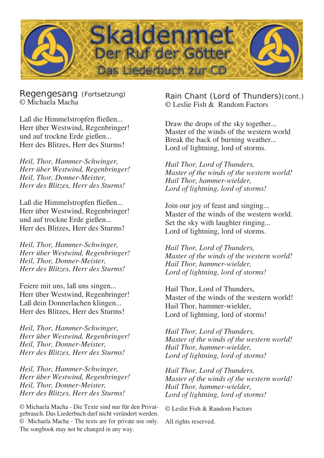

Regengesang (Fortsetzung) © Michaela Macha

Laß die Himmelstropfen fließen... Herr über Westwind, Regenbringer! und auf trockne Erde gießen... Herr des Blitzes, Herr des Sturms!

*Heil, Thor, Hammer-Schwinger, Herr über Westwind, Regenbringer! Heil, Thor, Donner-Meister, Herr des Blitzes, Herr des Sturms!*

Laß die Himmelstropfen fließen... Herr über Westwind, Regenbringer! und auf trockne Erde gießen... Herr des Blitzes, Herr des Sturms!

*Heil, Thor, Hammer-Schwinger, Herr über Westwind, Regenbringer! Heil, Thor, Donner-Meister, Herr des Blitzes, Herr des Sturms!*

Feiere mit uns, laß uns singen... Herr über Westwind, Regenbringer! Laß dein Donnerlachen klingen... Herr des Blitzes, Herr des Sturms!

*Heil, Thor, Hammer-Schwinger, Herr über Westwind, Regenbringer! Heil, Thor, Donner-Meister, Herr des Blitzes, Herr des Sturms!*

*Heil, Thor, Hammer-Schwinger, Herr über Westwind, Regenbringer! Heil, Thor, Donner-Meister, Herr des Blitzes, Herr des Sturms!*

© Michaela Macha - Die Texte sind nur für den Privatgebrauch. Das Liederbuch darf nicht verändert werden. © Michaela Macha - The texts are for private use only. The songbook may not be changed in any way.

Rain Chant (Lord of Thunders)(cont.) © Leslie Fish & Random Factors

Draw the drops of the sky together... Master of the winds of the western world Break the back of burning weather... Lord of lightning, lord of storms.

*Hail Thor, Lord of Thunders, Master of the winds of the western world! Hail Thor, hammer-wielder, Lord of lightning, lord of storms!*

Join our joy of feast and singing... Master of the winds of the western world. Set the sky with laughter ringing... Lord of lightning, lord of storms.

*Hail Thor, Lord of Thunders, Master of the winds of the western world! Hail Thor, hammer-wielder, Lord of lightning, lord of storms!*

Hail Thor, Lord of Thunders, Master of the winds of the western world! Hail Thor, hammer-wielder, Lord of lightning, lord of storms!

*Hail Thor, Lord of Thunders, Master of the winds of the western world! Hail Thor, hammer-wielder, Lord of lightning, lord of storms!*

*Hail Thor, Lord of Thunders, Master of the winds of the western world! Hail Thor, hammer-wielder, Lord of lightning, lord of storms!*

© Leslie Fish & Random Factors

All rights reserved.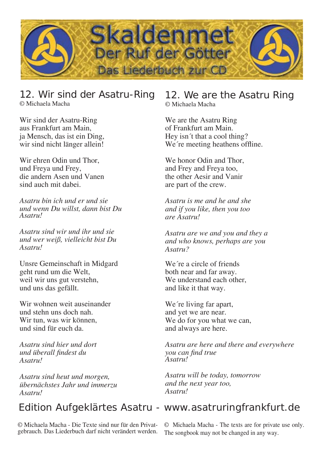

### 12. Wir sind der Asatru-Ring © Michaela Macha

Wir sind der Asatru-Ring aus Frankfurt am Main, ja Mensch, das ist ein Ding, wir sind nicht länger allein!

Wir ehren Odin und Thor, und Freya und Frey, die andern Asen und Vanen sind auch mit dabei.

*Asatru bin ich und er und sie und wenn Du willst, dann bist Du Asatru!* 

*Asatru sind wir und ihr und sie und wer weiß, vielleicht bist Du Asatru!*

Unsre Gemeinschaft in Midgard geht rund um die Welt, weil wir uns gut verstehn, und uns das gefällt.

Wir wohnen weit auseinander und stehn uns doch nah. Wir tun, was wir können, und sind für euch da.

*Asatru sind hier und dort und überall fi ndest du Asatru!*

*Asatru sind heut und morgen, übernächstes Jahr und immerzu Asatru!*

#### 12. We are the Asatru Ring © Michaela Macha

We are the Asatru Ring of Frankfurt am Main. Hey isn´t that a cool thing? We're meeting heathens offline.

We honor Odin and Thor, and Frey and Freya too, the other Aesir and Vanir are part of the crew.

*Asatru is me and he and she and if you like, then you too are Asatru!*

*Asatru are we and you and they a and who knows, perhaps are you Asatru?*

We´re a circle of friends both near and far away. We understand each other, and like it that way.

We're living far apart, and yet we are near. We do for you what we can. and always are here.

*Asatru are here and there and everywhere you can find true Asatru!*

*Asatru will be today, tomorrow and the next year too, Asatru!*

## Edition Aufgeklärtes Asatru - www.asatruringfrankfurt.de

© Michaela Macha - Die Texte sind nur für den Privatgebrauch. Das Liederbuch darf nicht verändert werden.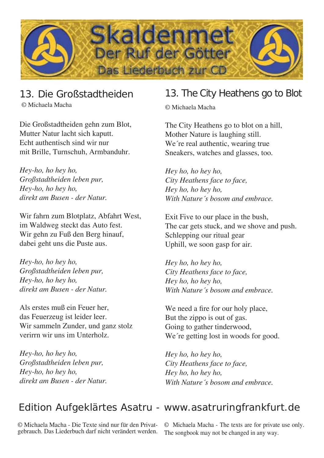

## 13. Die Großstadtheiden

© Michaela Macha

Die Großstadtheiden gehn zum Blot, Mutter Natur lacht sich kaputt. Echt authentisch sind wir nur mit Brille, Turnschuh, Armbanduhr.

*Hey-ho, ho hey ho, Großstadtheiden leben pur, Hey-ho, ho hey ho, direkt am Busen - der Natur.*

Wir fahrn zum Blotplatz, Abfahrt West, im Waldweg steckt das Auto fest. Wir gehn zu Fuß den Berg hinauf, dabei geht uns die Puste aus.

*Hey-ho, ho hey ho, Großstadtheiden leben pur, Hey-ho, ho hey ho, direkt am Busen - der Natur.*

Als erstes muß ein Feuer her, das Feuerzeug ist leider leer. Wir sammeln Zunder, und ganz stolz verirrn wir uns im Unterholz.

*Hey-ho, ho hey ho, Großstadtheiden leben pur, Hey-ho, ho hey ho, direkt am Busen - der Natur.*

## 13. The City Heathens go to Blot

© Michaela Macha

The City Heathens go to blot on a hill, Mother Nature is laughing still. We're real authentic, wearing true Sneakers, watches and glasses, too.

*Hey ho, ho hey ho, City Heathens face to face, Hey ho, ho hey ho, With Nature´s bosom and embrace.*

Exit Five to our place in the bush, The car gets stuck, and we shove and push. Schlepping our ritual gear Uphill, we soon gasp for air.

*Hey ho, ho hey ho, City Heathens face to face, Hey ho, ho hey ho, With Nature´s bosom and embrace.*

We need a fire for our holy place, But the zippo is out of gas. Going to gather tinderwood, We're getting lost in woods for good.

*Hey ho, ho hey ho, City Heathens face to face, Hey ho, ho hey ho, With Nature´s bosom and embrace.*

## Edition Aufgeklärtes Asatru - www.asatruringfrankfurt.de

© Michaela Macha - Die Texte sind nur für den Privatgebrauch. Das Liederbuch darf nicht verändert werden.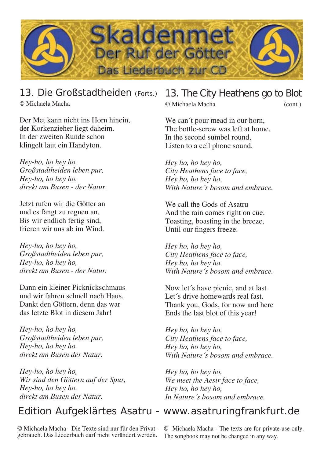

13. Die Großstadtheiden (Forts.) © Michaela Macha

Der Met kann nicht ins Horn hinein, der Korkenzieher liegt daheim. In der zweiten Runde schon klingelt laut ein Handyton.

*Hey-ho, ho hey ho, Großstadtheiden leben pur, Hey-ho, ho hey ho, direkt am Busen - der Natur.*

Jetzt rufen wir die Götter an und es fängt zu regnen an. Bis wir endlich fertig sind, frieren wir uns ab im Wind.

*Hey-ho, ho hey ho, Großstadtheiden leben pur, Hey-ho, ho hey ho, direkt am Busen - der Natur.*

Dann ein kleiner Picknickschmaus und wir fahren schnell nach Haus. Dankt den Göttern, denn das war das letzte Blot in diesem Jahr!

*Hey-ho, ho hey ho, Großstadtheiden leben pur, Hey-ho, ho hey ho, direkt am Busen der Natur.*

*Hey-ho, ho hey ho, Wir sind den Göttern auf der Spur, Hey-ho, ho hey ho, direkt am Busen der Natur.*

© Michaela Macha - Die Texte sind nur für den Privatgebrauch. Das Liederbuch darf nicht verändert werden.

## 13. The City Heathens go to Blot

© Michaela Macha (cont.)

We can't pour mead in our horn, The bottle-screw was left at home. In the second sumbel round, Listen to a cell phone sound.

*Hey ho, ho hey ho, City Heathens face to face, Hey ho, ho hey ho, With Nature´s bosom and embrace.*

We call the Gods of Asatru And the rain comes right on cue. Toasting, boasting in the breeze, Until our fingers freeze.

*Hey ho, ho hey ho, City Heathens face to face, Hey ho, ho hey ho, With Nature´s bosom and embrace.*

Now let´s have picnic, and at last Let´s drive homewards real fast. Thank you, Gods, for now and here Ends the last blot of this year!

*Hey ho, ho hey ho, City Heathens face to face, Hey ho, ho hey ho, With Nature´s bosom and embrace.*

*Hey ho, ho hey ho, We meet the Aesir face to face, Hey ho, ho hey ho, In Nature´s bosom and embrace.*

## Edition Aufgeklärtes Asatru - www.asatruringfrankfurt.de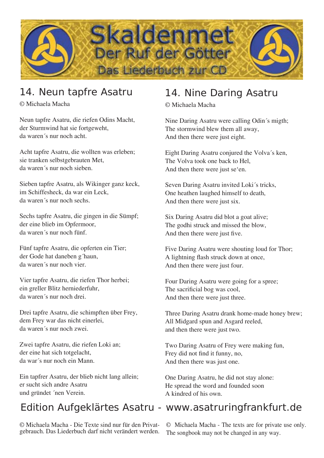

## 14. Neun tapfre Asatru

© Michaela Macha

Neun tapfre Asatru, die riefen Odins Macht, der Sturmwind hat sie fortgeweht, da waren´s nur noch acht.

Acht tapfre Asatru, die wollten was erleben; sie tranken selbstgebrauten Met, da waren´s nur noch sieben.

Sieben tapfre Asatru, als Wikinger ganz keck, im Schiffesheck, da war ein Leck, da waren´s nur noch sechs.

Sechs tapfre Asatru, die gingen in die Sümpf; der eine blieb im Opfermoor, da waren´s nur noch fünf.

Fünf tapfre Asatru, die opferten ein Tier; der Gode hat daneben g´haun, da waren´s nur noch vier.

Vier tapfre Asatru, die riefen Thor herbei; ein greller Blitz herniederfuhr, da waren´s nur noch drei.

Drei tapfre Asatru, die schimpften über Frey, dem Frey war das nicht einerlei, da waren´s nur noch zwei.

Zwei tapfre Asatru, die riefen Loki an; der eine hat sich totgelacht, da war´s nur noch ein Mann.

Ein tapfrer Asatru, der blieb nicht lang allein; er sucht sich andre Asatru und gründet ´nen Verein.

© Michaela Macha - Die Texte sind nur für den Privatgebrauch. Das Liederbuch darf nicht verändert werden.

## 14. Nine Daring Asatru

© Michaela Macha

Nine Daring Asatru were calling Odin´s migth; The stormwind blew them all away, And then there were just eight.

Eight Daring Asatru conjured the Volva´s ken, The Volva took one back to Hel, And then there were just se'en.

Seven Daring Asatru invited Loki´s tricks, One heathen laughed himself to death, And then there were just six.

Six Daring Asatru did blot a goat alive; The godhi struck and missed the blow, And then there were just five.

Five Daring Asatru were shouting loud for Thor; A lightning flash struck down at once, And then there were just four.

Four Daring Asatru were going for a spree; The sacrificial bog was cool, And then there were just three.

Three Daring Asatru drank home-made honey brew; All Midgard spun and Asgard reeled, and then there were just two.

Two Daring Asatru of Frey were making fun, Frey did not find it funny, no, And then there was just one.

One Daring Asatru, he did not stay alone: He spread the word and founded soon A kindred of his own.

## Edition Aufgeklärtes Asatru - www.asatruringfrankfurt.de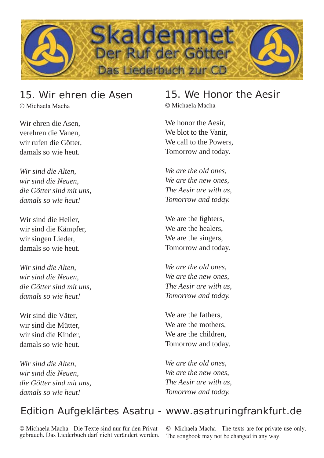

# 15. Wir ehren die Asen

© Michaela Macha

Wir ehren die Asen, verehren die Vanen, wir rufen die Götter, damals so wie heut.

*Wir sind die Alten, wir sind die Neuen, die Götter sind mit uns, damals so wie heut!*

Wir sind die Heiler, wir sind die Kämpfer, wir singen Lieder, damals so wie heut.

*Wir sind die Alten, wir sind die Neuen, die Götter sind mit uns, damals so wie heut!*

Wir sind die Väter, wir sind die Mütter, wir sind die Kinder, damals so wie heut.

*Wir sind die Alten, wir sind die Neuen, die Götter sind mit uns, damals so wie heut!*

## 15. We Honor the Aesir

© Michaela Macha

We honor the Aesir, We blot to the Vanir, We call to the Powers, Tomorrow and today.

*We are the old ones, We are the new ones, The Aesir are with us, Tomorrow and today.* 

We are the fighters, We are the healers. We are the singers, Tomorrow and today.

*We are the old ones, We are the new ones, The Aesir are with us, Tomorrow and today.* 

We are the fathers, We are the mothers, We are the children. Tomorrow and today.

*We are the old ones, We are the new ones, The Aesir are with us, Tomorrow and today.* 

## Edition Aufgeklärtes Asatru - www.asatruringfrankfurt.de

© Michaela Macha - Die Texte sind nur für den Privatgebrauch. Das Liederbuch darf nicht verändert werden.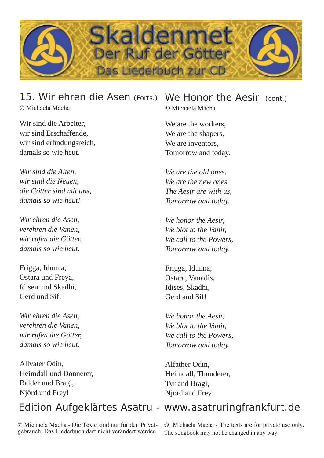

### 15. Wir ehren die Asen (Forts.) © Michaela Macha

Wir sind die Arbeiter, wir sind Erschaffende, wir sind erfindungsreich, damals so wie heut.

*Wir sind die Alten, wir sind die Neuen, die Götter sind mit uns, damals so wie heut!*

*Wir ehren die Asen, verehren die Vanen, wir rufen die Götter, damals so wie heut.* 

Frigga, Idunna, Ostara und Freya, Idisen und Skadhi, Gerd und Sif!

*Wir ehren die Asen, verehren die Vanen, wir rufen die Götter, damals so wie heut.* 

Allvater Odin, Heimdall und Donnerer, Balder und Bragi, Njörd und Frey!

# We Honor the Aesir (cont.)

© Michaela Macha

We are the workers, We are the shapers, We are inventors. Tomorrow and today.

*We are the old ones, We are the new ones, The Aesir are with us, Tomorrow and today.* 

*We honor the Aesir, We blot to the Vanir, We call to the Powers, Tomorrow and today.* 

Frigga, Idunna, Ostara, Vanadis, Idises, Skadhi, Gerd and Sif!

*We honor the Aesir, We blot to the Vanir, We call to the Powers, Tomorrow and today.* 

Alfather Odin, Heimdall, Thunderer, Tyr and Bragi, Njord and Frey!

## Edition Aufgeklärtes Asatru - www.asatruringfrankfurt.de

© Michaela Macha - Die Texte sind nur für den Privatgebrauch. Das Liederbuch darf nicht verändert werden.